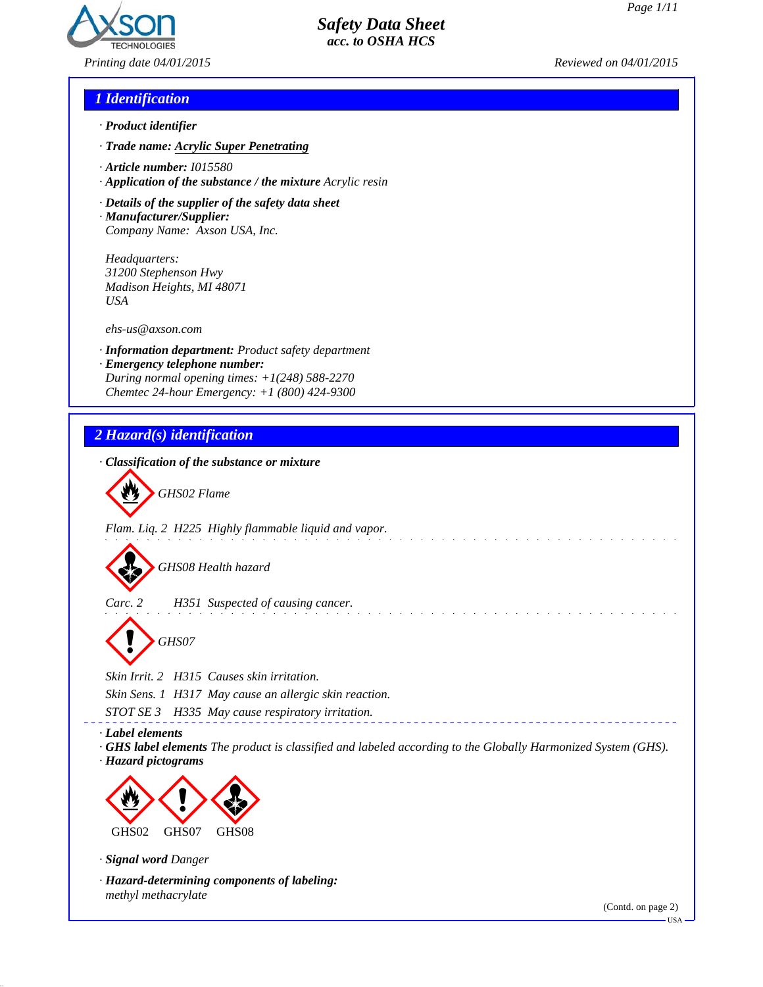

*Printing date 04/01/2015 Reviewed on 04/01/2015*

### *1 Identification*

- *· Product identifier*
- *· Trade name: Acrylic Super Penetrating*
- *· Article number: I015580*
- *· Application of the substance / the mixture Acrylic resin*
- *· Details of the supplier of the safety data sheet · Manufacturer/Supplier:*
- *Company Name: Axson USA, Inc.*

*Headquarters: 31200 Stephenson Hwy Madison Heights, MI 48071 USA*

*ehs-us@axson.com*

- *· Information department: Product safety department*
- *· Emergency telephone number: During normal opening times: +1(248) 588-2270 Chemtec 24-hour Emergency: +1 (800) 424-9300*

# *2 Hazard(s) identification*

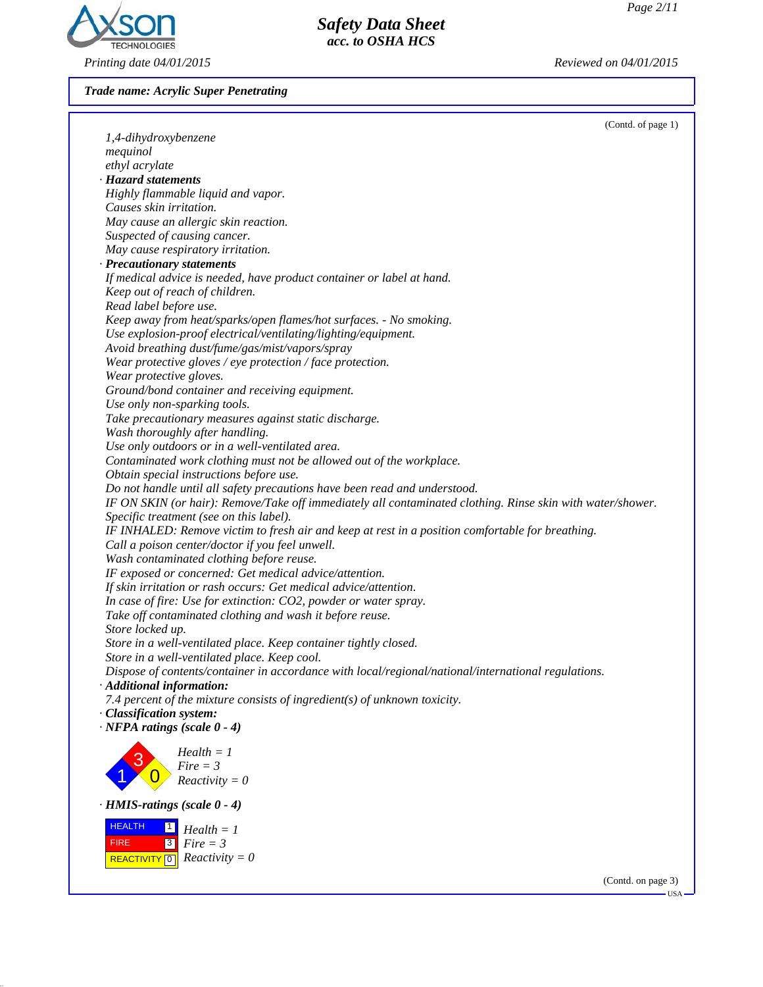

*Trade name: Acrylic Super Penetrating*

|                                                                                                            | (Contd. of page 1) |
|------------------------------------------------------------------------------------------------------------|--------------------|
| 1,4-dihydroxybenzene                                                                                       |                    |
| mequinol                                                                                                   |                    |
| ethyl acrylate                                                                                             |                    |
| · Hazard statements                                                                                        |                    |
| Highly flammable liquid and vapor.                                                                         |                    |
| Causes skin irritation.                                                                                    |                    |
| May cause an allergic skin reaction.                                                                       |                    |
| Suspected of causing cancer.                                                                               |                    |
| May cause respiratory irritation.                                                                          |                    |
| · Precautionary statements                                                                                 |                    |
| If medical advice is needed, have product container or label at hand.                                      |                    |
| Keep out of reach of children.                                                                             |                    |
| Read label before use.                                                                                     |                    |
| Keep away from heat/sparks/open flames/hot surfaces. - No smoking.                                         |                    |
| Use explosion-proof electrical/ventilating/lighting/equipment.                                             |                    |
| Avoid breathing dust/fume/gas/mist/vapors/spray                                                            |                    |
| Wear protective gloves / eye protection / face protection.                                                 |                    |
| Wear protective gloves.                                                                                    |                    |
| Ground/bond container and receiving equipment.                                                             |                    |
| Use only non-sparking tools.                                                                               |                    |
| Take precautionary measures against static discharge.                                                      |                    |
| Wash thoroughly after handling.                                                                            |                    |
| Use only outdoors or in a well-ventilated area.                                                            |                    |
| Contaminated work clothing must not be allowed out of the workplace.                                       |                    |
| Obtain special instructions before use.                                                                    |                    |
| Do not handle until all safety precautions have been read and understood.                                  |                    |
| IF ON SKIN (or hair): Remove/Take off immediately all contaminated clothing. Rinse skin with water/shower. |                    |
| Specific treatment (see on this label).                                                                    |                    |
| IF INHALED: Remove victim to fresh air and keep at rest in a position comfortable for breathing.           |                    |
| Call a poison center/doctor if you feel unwell.                                                            |                    |
| Wash contaminated clothing before reuse.                                                                   |                    |
| IF exposed or concerned: Get medical advice/attention.                                                     |                    |
| If skin irritation or rash occurs: Get medical advice/attention.                                           |                    |
| In case of fire: Use for extinction: CO2, powder or water spray.                                           |                    |
| Take off contaminated clothing and wash it before reuse.                                                   |                    |
| Store locked up.                                                                                           |                    |
| Store in a well-ventilated place. Keep container tightly closed.                                           |                    |
| Store in a well-ventilated place. Keep cool.                                                               |                    |
| Dispose of contents/container in accordance with local/regional/national/international regulations.        |                    |
| $\cdot$ Additional information:                                                                            |                    |
| 7.4 percent of the mixture consists of ingredient(s) of unknown toxicity.                                  |                    |
| · Classification system:                                                                                   |                    |
| $\cdot$ NFPA ratings (scale 0 - 4)                                                                         |                    |
|                                                                                                            |                    |
| $Health = 1$                                                                                               |                    |
| $Fire = 3$                                                                                                 |                    |
| $Reactivity = 0$                                                                                           |                    |
| $\cdot$ HMIS-ratings (scale 0 - 4)                                                                         |                    |
| <b>HEALTH</b><br>$\mathbf{1}$                                                                              |                    |
| $Health = 1$                                                                                               |                    |
| 3 <br>$Fire = 3$<br><b>FIRE</b>                                                                            |                    |
| $Reactivity = 0$<br><b>REACTIVITY</b> 0                                                                    |                    |
|                                                                                                            | (Contd. on page 3) |
|                                                                                                            | $-USA -$           |

*Safety Data Sheet acc. to OSHA HCS*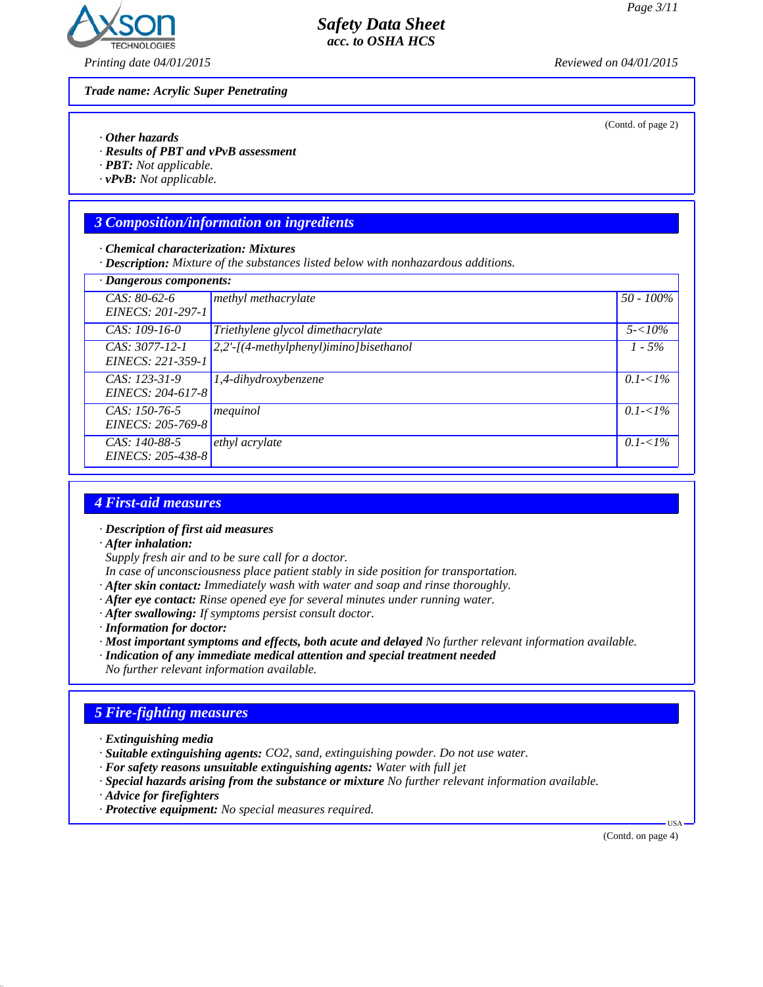(Contd. of page 2)



*Printing date 04/01/2015 Reviewed on 04/01/2015*

*Trade name: Acrylic Super Penetrating*

*· Other hazards*

*· Results of PBT and vPvB assessment*

*· PBT: Not applicable.*

*· vPvB: Not applicable.*

# *3 Composition/information on ingredients*

*· Chemical characterization: Mixtures*

*· Description: Mixture of the substances listed below with nonhazardous additions.*

| · Dangerous components:                    |                                        |              |
|--------------------------------------------|----------------------------------------|--------------|
| $CAS: 80-62-6$<br><i>EINECS: 201-297-1</i> | methyl methacrylate                    | $50 - 100\%$ |
|                                            |                                        |              |
| CAS: $109-16-0$                            | Triethylene glycol dimethacrylate      | $5 - 10\%$   |
| $CAS: 3077-12-1$<br>EINECS: 221-359-1      | 2,2'-[(4-methylphenyl)imino]bisethanol | $1 - 5\%$    |
| $CAS: 123-31-9$<br>EINECS: 204-617-8       | 1,4-dihydroxybenzene                   | $0.1 - 1\%$  |
| $CAS: 150-76-5$<br>EINECS: 205-769-8       | mequinol                               | $0.1 - 1\%$  |
| CAS: 140-88-5<br>EINECS: 205-438-8         | ethyl acrylate                         | $0.1 - 1\%$  |

*Safety Data Sheet acc. to OSHA HCS*

#### *4 First-aid measures*

*· Description of first aid measures*

*· After inhalation:*

*Supply fresh air and to be sure call for a doctor.*

- *In case of unconsciousness place patient stably in side position for transportation.*
- *· After skin contact: Immediately wash with water and soap and rinse thoroughly.*
- *· After eye contact: Rinse opened eye for several minutes under running water.*
- *· After swallowing: If symptoms persist consult doctor.*

*· Information for doctor:*

*· Most important symptoms and effects, both acute and delayed No further relevant information available.*

*· Indication of any immediate medical attention and special treatment needed*

*No further relevant information available.*

# *5 Fire-fighting measures*

- *· Extinguishing media*
- *· Suitable extinguishing agents: CO2, sand, extinguishing powder. Do not use water.*
- *· For safety reasons unsuitable extinguishing agents: Water with full jet*
- *· Special hazards arising from the substance or mixture No further relevant information available.*
- *· Advice for firefighters*
- *· Protective equipment: No special measures required.*

(Contd. on page 4)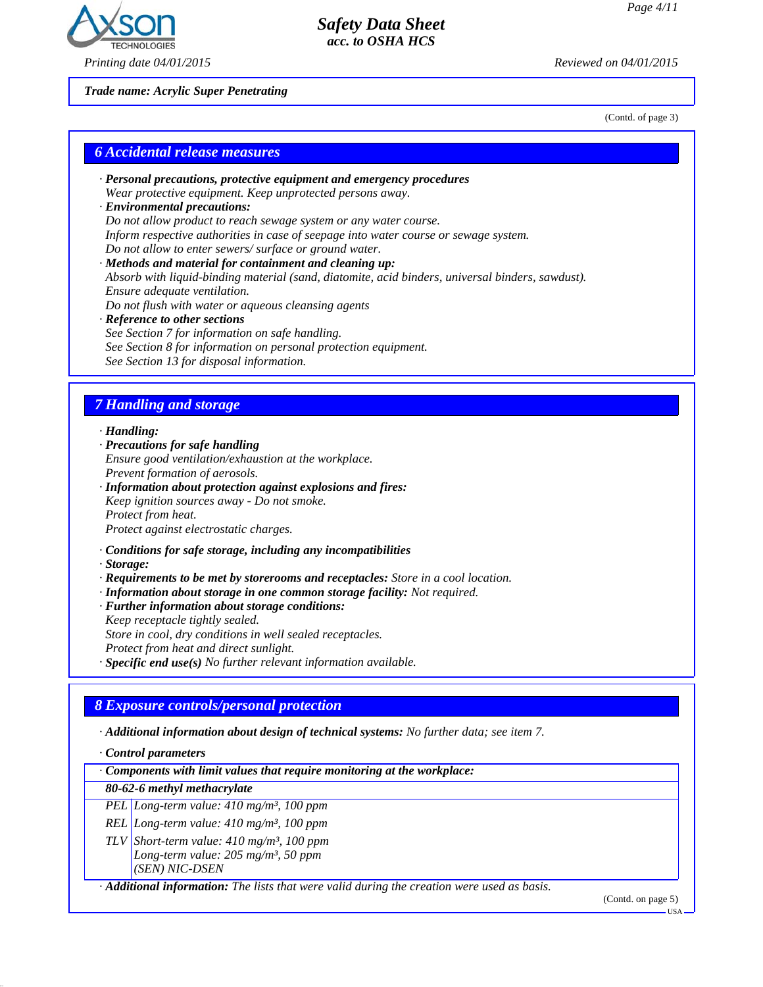

*Safety Data Sheet acc. to OSHA HCS*

*Trade name: Acrylic Super Penetrating*

(Contd. of page 3)

#### *6 Accidental release measures*

- *· Personal precautions, protective equipment and emergency procedures Wear protective equipment. Keep unprotected persons away. · Environmental precautions:*
- *Do not allow product to reach sewage system or any water course. Inform respective authorities in case of seepage into water course or sewage system. Do not allow to enter sewers/ surface or ground water.*
- *· Methods and material for containment and cleaning up: Absorb with liquid-binding material (sand, diatomite, acid binders, universal binders, sawdust). Ensure adequate ventilation. Do not flush with water or aqueous cleansing agents · Reference to other sections*
- *See Section 7 for information on safe handling. See Section 8 for information on personal protection equipment. See Section 13 for disposal information.*

# *7 Handling and storage*

*· Handling:*

- *· Precautions for safe handling*
- *Ensure good ventilation/exhaustion at the workplace. Prevent formation of aerosols.*
- *· Information about protection against explosions and fires: Keep ignition sources away - Do not smoke. Protect from heat. Protect against electrostatic charges.*
- *· Conditions for safe storage, including any incompatibilities*

*· Storage:*

- *· Requirements to be met by storerooms and receptacles: Store in a cool location.*
- *· Information about storage in one common storage facility: Not required.*
- *· Further information about storage conditions:*
- *Keep receptacle tightly sealed.*

*Store in cool, dry conditions in well sealed receptacles.*

*Protect from heat and direct sunlight.*

*· Specific end use(s) No further relevant information available.*

### *8 Exposure controls/personal protection*

*· Additional information about design of technical systems: No further data; see item 7.*

*· Control parameters*

*· Components with limit values that require monitoring at the workplace:*

#### *80-62-6 methyl methacrylate*

*PEL Long-term value: 410 mg/m³, 100 ppm*

*REL Long-term value: 410 mg/m³, 100 ppm*

*TLV Short-term value: 410 mg/m³, 100 ppm Long-term value: 205 mg/m³, 50 ppm (SEN) NIC-DSEN*

*· Additional information: The lists that were valid during the creation were used as basis.*

(Contd. on page 5)

USA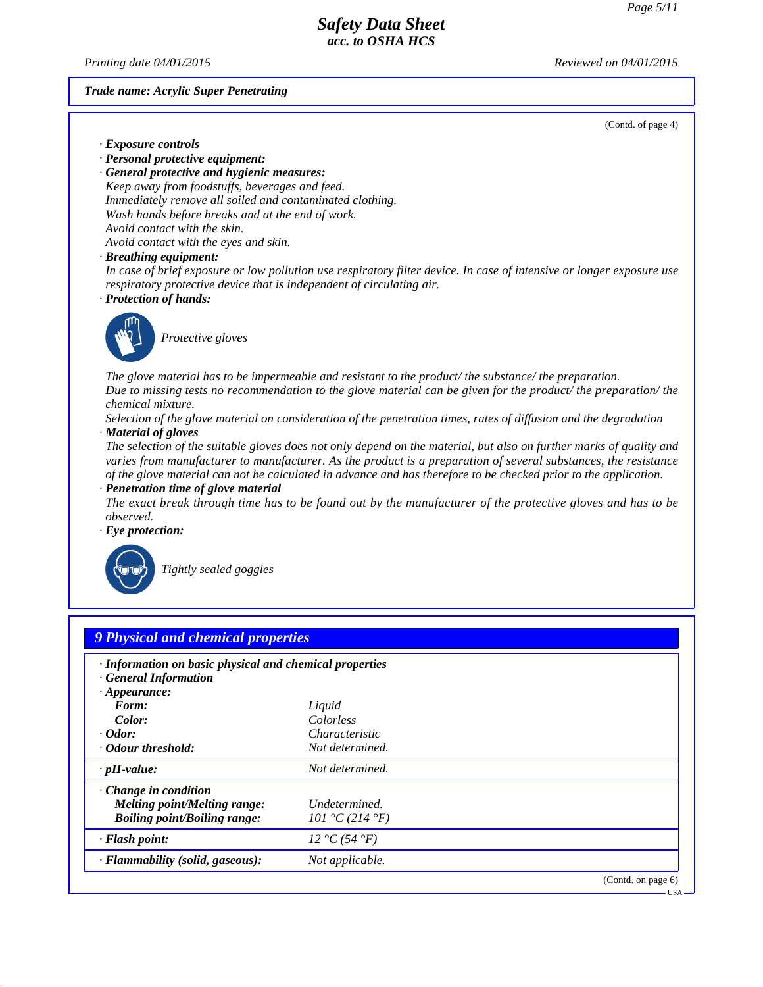*Printing date 04/01/2015 Reviewed on 04/01/2015*

#### *Trade name: Acrylic Super Penetrating*

(Contd. of page 4)

- *· Exposure controls*
- *· Personal protective equipment:*

*· General protective and hygienic measures: Keep away from foodstuffs, beverages and feed. Immediately remove all soiled and contaminated clothing. Wash hands before breaks and at the end of work. Avoid contact with the skin. Avoid contact with the eyes and skin.*

*· Breathing equipment:*

*In case of brief exposure or low pollution use respiratory filter device. In case of intensive or longer exposure use respiratory protective device that is independent of circulating air.*

*· Protection of hands:*



**Protective gloves** 

*The glove material has to be impermeable and resistant to the product/ the substance/ the preparation. Due to missing tests no recommendation to the glove material can be given for the product/ the preparation/ the chemical mixture.*

*Selection of the glove material on consideration of the penetration times, rates of diffusion and the degradation · Material of gloves*

*The selection of the suitable gloves does not only depend on the material, but also on further marks of quality and varies from manufacturer to manufacturer. As the product is a preparation of several substances, the resistance of the glove material can not be calculated in advance and has therefore to be checked prior to the application.*

*· Penetration time of glove material*

*The exact break through time has to be found out by the manufacturer of the protective gloves and has to be observed.*

*· Eye protection:*



`R*Tightly sealed goggles*

| · Information on basic physical and chemical properties<br><b>General Information</b> |                       |  |
|---------------------------------------------------------------------------------------|-----------------------|--|
| $\cdot$ Appearance:                                                                   |                       |  |
| Form:                                                                                 | Liquid                |  |
| Color:                                                                                | Colorless             |  |
| $\cdot$ Odor:                                                                         | <i>Characteristic</i> |  |
| Odour threshold:                                                                      | Not determined.       |  |
| $\cdot$ pH-value:                                                                     | Not determined.       |  |
| $\cdot$ Change in condition                                                           |                       |  |
| Melting point/Melting range:                                                          | Undetermined.         |  |
| <b>Boiling point/Boiling range:</b>                                                   | 101 °C (214 °F)       |  |
| · Flash point:                                                                        | 12 °C (54 °F)         |  |
| · Flammability (solid, gaseous):                                                      | Not applicable.       |  |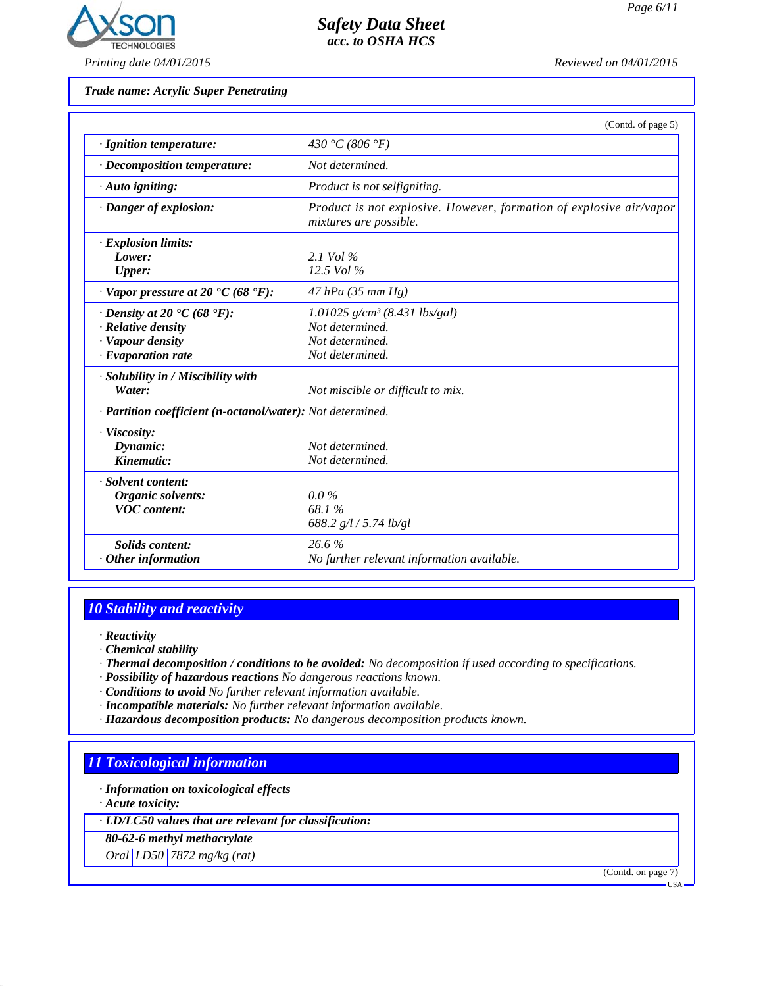

*Safety Data Sheet acc. to OSHA HCS*

*Trade name: Acrylic Super Penetrating*

|                                                                    | (Contd. of page 5)                                                                            |
|--------------------------------------------------------------------|-----------------------------------------------------------------------------------------------|
| · Ignition temperature:                                            | 430 °C (806 °F)                                                                               |
| $\cdot$ Decomposition temperature:                                 | Not determined.                                                                               |
| $\cdot$ Auto igniting:                                             | Product is not selfigniting.                                                                  |
| · Danger of explosion:                                             | Product is not explosive. However, formation of explosive air/vapor<br>mixtures are possible. |
| · Explosion limits:                                                |                                                                                               |
| Lower:                                                             | 2.1 Vol $\%$                                                                                  |
| <b>Upper:</b>                                                      | $12.5$ Vol $%$                                                                                |
| $\cdot$ Vapor pressure at 20 $\textdegree$ C (68 $\textdegree$ F): | $47$ hPa (35 mm Hg)                                                                           |
| $\cdot$ Density at 20 $\cdot$ C (68 $\cdot$ F):                    | $1.01025$ g/cm <sup>3</sup> (8.431 lbs/gal)                                                   |
| · Relative density                                                 | Not determined.                                                                               |
| · Vapour density                                                   | Not determined.                                                                               |
| $\cdot$ Evaporation rate                                           | Not determined.                                                                               |
| · Solubility in / Miscibility with                                 |                                                                                               |
| Water:                                                             | Not miscible or difficult to mix.                                                             |
| · Partition coefficient (n-octanol/water): Not determined.         |                                                                                               |
| · Viscosity:                                                       |                                                                                               |
| Dynamic:                                                           | Not determined.                                                                               |
| Kinematic:                                                         | Not determined.                                                                               |
| · Solvent content:                                                 |                                                                                               |
| Organic solvents:                                                  | $0.0\%$                                                                                       |
| <b>VOC</b> content:                                                | 68.1%                                                                                         |
|                                                                    | 688.2 $g/l / 5.74$ lb/gl                                                                      |
| <b>Solids content:</b>                                             | 26.6%                                                                                         |
| $\cdot$ Other information                                          | No further relevant information available.                                                    |

# *10 Stability and reactivity*

*· Reactivity*

- *· Chemical stability*
- *· Thermal decomposition / conditions to be avoided: No decomposition if used according to specifications.*
- *· Possibility of hazardous reactions No dangerous reactions known.*
- *· Conditions to avoid No further relevant information available.*
- *· Incompatible materials: No further relevant information available.*
- *· Hazardous decomposition products: No dangerous decomposition products known.*

### *11 Toxicological information*

*· Information on toxicological effects*

*· Acute toxicity:*

*· LD/LC50 values that are relevant for classification:*

*80-62-6 methyl methacrylate*

*Oral LD50 7872 mg/kg (rat)*

(Contd. on page 7)

USA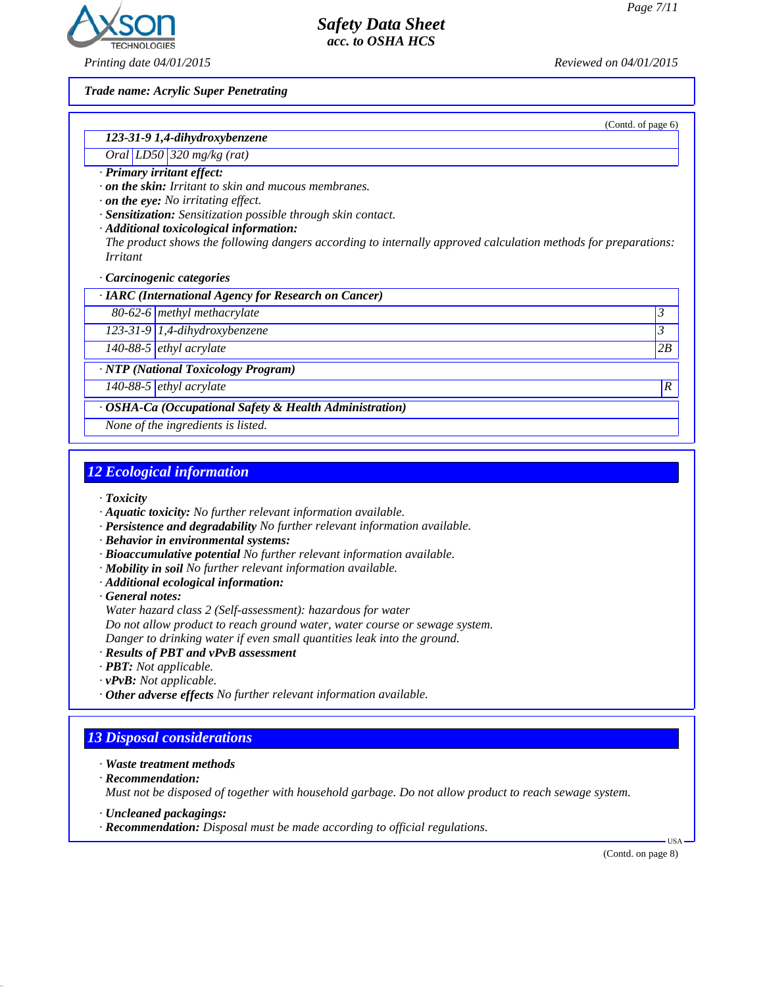(Contd. of page 6)



*Printing date 04/01/2015 Reviewed on 04/01/2015*

*Trade name: Acrylic Super Penetrating*

### *123-31-9 1,4-dihydroxybenzene*

#### *Oral LD50 320 mg/kg (rat)*

*· Primary irritant effect:*

*· on the skin: Irritant to skin and mucous membranes.*

*· on the eye: No irritating effect.*

*· Sensitization: Sensitization possible through skin contact.*

*· Additional toxicological information:*

*The product shows the following dangers according to internally approved calculation methods for preparations: Irritant*

*Safety Data Sheet acc. to OSHA HCS*

*· Carcinogenic categories*

*· IARC (International Agency for Research on Cancer)*

*80-62-6 methyl methacrylate 3* 

*123-31-9 1,4-dihydroxybenzene 3* 

*140-88-5 ethyl acrylate 2B*

*· NTP (National Toxicology Program)*

*140-88-5 ethyl acrylate R* 

*· OSHA-Ca (Occupational Safety & Health Administration)*

*None of the ingredients is listed.*

#### *12 Ecological information*

- *· Toxicity*
- *· Aquatic toxicity: No further relevant information available.*
- *· Persistence and degradability No further relevant information available.*
- *· Behavior in environmental systems:*
- *· Bioaccumulative potential No further relevant information available.*
- *· Mobility in soil No further relevant information available.*
- *· Additional ecological information:*

*· General notes:*

*Water hazard class 2 (Self-assessment): hazardous for water*

*Do not allow product to reach ground water, water course or sewage system.*

*Danger to drinking water if even small quantities leak into the ground.*

- *· Results of PBT and vPvB assessment*
- *· PBT: Not applicable.*
- *· vPvB: Not applicable.*
- *· Other adverse effects No further relevant information available.*

### *13 Disposal considerations*

- *· Waste treatment methods*
- *· Recommendation:*

*Must not be disposed of together with household garbage. Do not allow product to reach sewage system.*

*· Uncleaned packagings:*

*· Recommendation: Disposal must be made according to official regulations.*

(Contd. on page 8)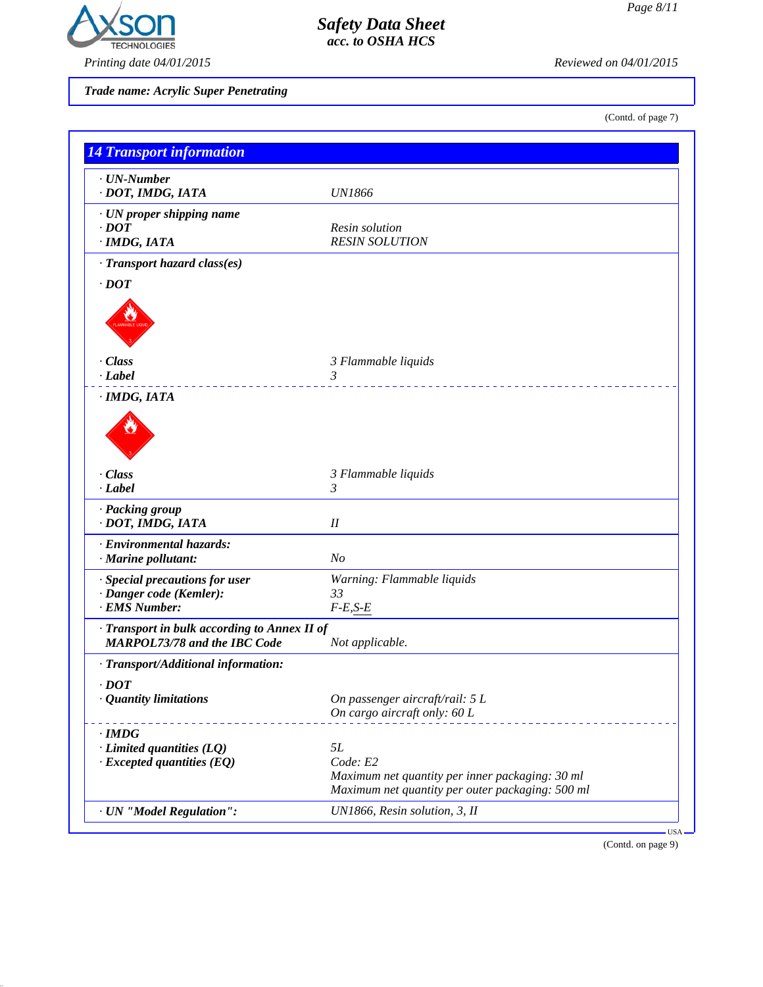

*Printing date 04/01/2015 Reviewed on 04/01/2015*

*Trade name: Acrylic Super Penetrating*

(Contd. of page 7)

| · UN-Number                                                                         |                                                  |
|-------------------------------------------------------------------------------------|--------------------------------------------------|
| · DOT, IMDG, IATA                                                                   | <b>UN1866</b>                                    |
| · UN proper shipping name                                                           |                                                  |
| $\cdot$ <i>DOT</i>                                                                  | Resin solution                                   |
| · IMDG, IATA                                                                        | <b>RESIN SOLUTION</b>                            |
| · Transport hazard class(es)                                                        |                                                  |
| $\cdot$ DOT                                                                         |                                                  |
|                                                                                     |                                                  |
| · Class<br>$\cdot$ <i>Label</i>                                                     | 3 Flammable liquids<br>3                         |
| · IMDG, IATA                                                                        |                                                  |
| $\cdot$ Class                                                                       | 3 Flammable liquids                              |
| $-Label$                                                                            | 3                                                |
| · Packing group<br>· DOT, IMDG, IATA                                                | I                                                |
| · Environmental hazards:                                                            |                                                  |
| · Marine pollutant:                                                                 | N <sub>o</sub>                                   |
| · Special precautions for user                                                      | Warning: Flammable liquids                       |
| · Danger code (Kemler):                                                             | 33                                               |
| · EMS Number:                                                                       | $F-E,S-E$                                        |
| · Transport in bulk according to Annex II of<br><b>MARPOL73/78 and the IBC Code</b> | Not applicable.                                  |
| · Transport/Additional information:                                                 |                                                  |
| $\cdot$ DOT                                                                         |                                                  |
| · Quantity limitations                                                              | On passenger aircraft/rail: 5 L                  |
|                                                                                     | On cargo aircraft only: 60 L                     |
| $\cdot$ IMDG                                                                        |                                                  |
| $\cdot$ Limited quantities (LQ)                                                     | 5L                                               |
| $\cdot$ Excepted quantities (EQ)                                                    | Code: E2                                         |
|                                                                                     | Maximum net quantity per inner packaging: 30 ml  |
|                                                                                     | Maximum net quantity per outer packaging: 500 ml |

(Contd. on page 9)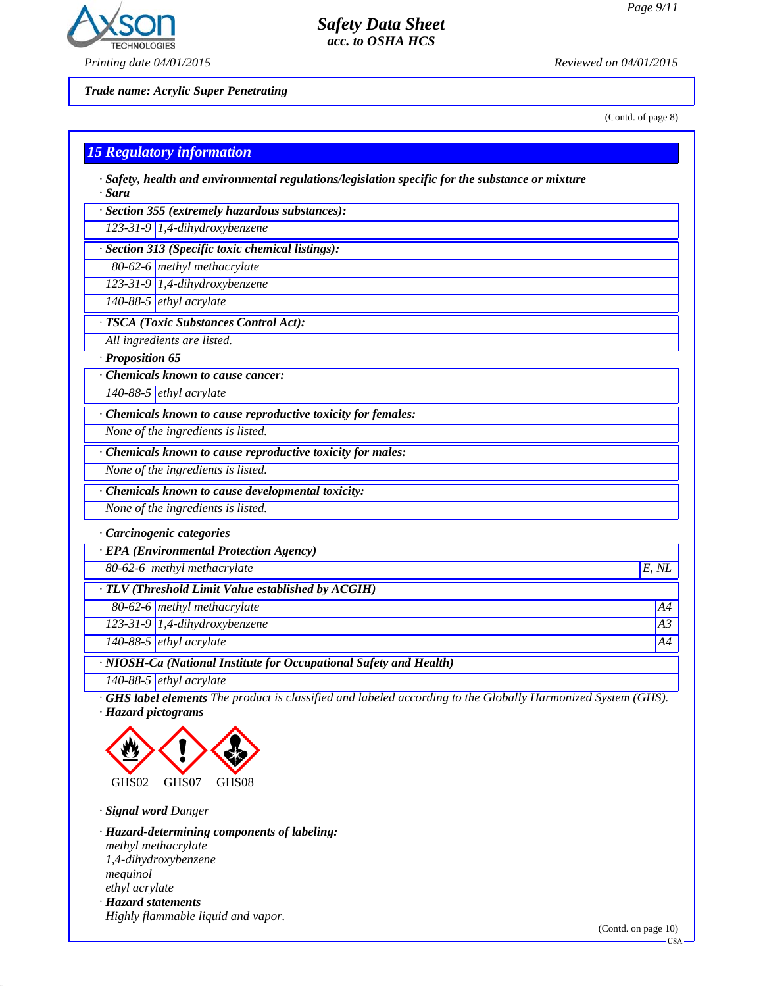

*Printing date 04/01/2015 Reviewed on 04/01/2015*

*Trade name: Acrylic Super Penetrating*

(Contd. of page 8)

| $\cdot$ Safety, health and environmental regulations/legislation specific for the substance or mixture<br>· Sara |       |
|------------------------------------------------------------------------------------------------------------------|-------|
| · Section 355 (extremely hazardous substances):                                                                  |       |
| 123-31-9 1,4-dihydroxybenzene                                                                                    |       |
| · Section 313 (Specific toxic chemical listings):                                                                |       |
| 80-62-6 methyl methacrylate                                                                                      |       |
| 123-31-9 1,4-dihydroxybenzene                                                                                    |       |
| 140-88-5 ethyl acrylate                                                                                          |       |
| · TSCA (Toxic Substances Control Act):                                                                           |       |
| All ingredients are listed.                                                                                      |       |
| · Proposition 65                                                                                                 |       |
| Chemicals known to cause cancer:                                                                                 |       |
| 140-88-5 ethyl acrylate                                                                                          |       |
| · Chemicals known to cause reproductive toxicity for females:                                                    |       |
| None of the ingredients is listed.                                                                               |       |
| · Chemicals known to cause reproductive toxicity for males:                                                      |       |
| None of the ingredients is listed.                                                                               |       |
| · Chemicals known to cause developmental toxicity:                                                               |       |
| None of the ingredients is listed.                                                                               |       |
| · Carcinogenic categories                                                                                        |       |
| · EPA (Environmental Protection Agency)                                                                          |       |
| 80-62-6 methyl methacrylate                                                                                      | E, NL |
| · TLV (Threshold Limit Value established by ACGIH)                                                               |       |
| 80-62-6 methyl methacrylate                                                                                      | A4    |
| $123-31-9$ 1,4-dihydroxybenzene                                                                                  | A3    |
| 140-88-5 ethyl acrylate                                                                                          | A4    |

*140-88-5 ethyl acrylate*

*· GHS label elements The product is classified and labeled according to the Globally Harmonized System (GHS). · Hazard pictograms*



*· Signal word Danger*

*· Hazard-determining components of labeling: methyl methacrylate 1,4-dihydroxybenzene mequinol ethyl acrylate · Hazard statements Highly flammable liquid and vapor.*

(Contd. on page 10) USA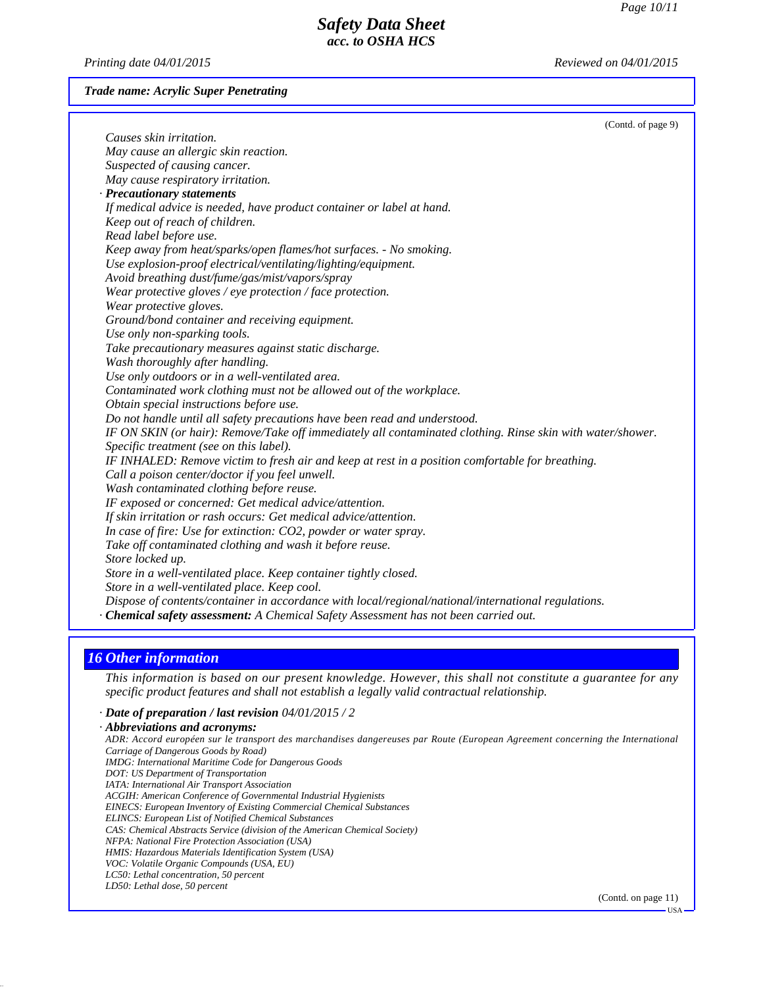USA

# *Safety Data Sheet acc. to OSHA HCS*

*Printing date 04/01/2015 Reviewed on 04/01/2015*

*Trade name: Acrylic Super Penetrating*

| (Contd. of page 9)                                                                                         |  |
|------------------------------------------------------------------------------------------------------------|--|
| Causes skin irritation.                                                                                    |  |
| May cause an allergic skin reaction.                                                                       |  |
| Suspected of causing cancer.                                                                               |  |
| May cause respiratory irritation.                                                                          |  |
| · Precautionary statements                                                                                 |  |
| If medical advice is needed, have product container or label at hand.                                      |  |
| Keep out of reach of children.                                                                             |  |
| Read label before use.                                                                                     |  |
| Keep away from heat/sparks/open flames/hot surfaces. - No smoking.                                         |  |
| Use explosion-proof electrical/ventilating/lighting/equipment.                                             |  |
| Avoid breathing dust/fume/gas/mist/vapors/spray                                                            |  |
| Wear protective gloves / eye protection / face protection.                                                 |  |
| Wear protective gloves.                                                                                    |  |
| Ground/bond container and receiving equipment.                                                             |  |
| Use only non-sparking tools.                                                                               |  |
| Take precautionary measures against static discharge.                                                      |  |
| Wash thoroughly after handling.                                                                            |  |
| Use only outdoors or in a well-ventilated area.                                                            |  |
| Contaminated work clothing must not be allowed out of the workplace.                                       |  |
| Obtain special instructions before use.                                                                    |  |
| Do not handle until all safety precautions have been read and understood.                                  |  |
| IF ON SKIN (or hair): Remove/Take off immediately all contaminated clothing. Rinse skin with water/shower. |  |
| Specific treatment (see on this label).                                                                    |  |
| IF INHALED: Remove victim to fresh air and keep at rest in a position comfortable for breathing.           |  |
| Call a poison center/doctor if you feel unwell.                                                            |  |
| Wash contaminated clothing before reuse.                                                                   |  |
| IF exposed or concerned: Get medical advice/attention.                                                     |  |
| If skin irritation or rash occurs: Get medical advice/attention.                                           |  |
| In case of fire: Use for extinction: CO2, powder or water spray.                                           |  |
| Take off contaminated clothing and wash it before reuse.                                                   |  |
| Store locked up.                                                                                           |  |
| Store in a well-ventilated place. Keep container tightly closed.                                           |  |
| Store in a well-ventilated place. Keep cool.                                                               |  |
| Dispose of contents/container in accordance with local/regional/national/international regulations.        |  |
| · Chemical safety assessment: A Chemical Safety Assessment has not been carried out.                       |  |
|                                                                                                            |  |

### *16 Other information*

*This information is based on our present knowledge. However, this shall not constitute a guarantee for any specific product features and shall not establish a legally valid contractual relationship.*

*· Date of preparation / last revision 04/01/2015 / 2 · Abbreviations and acronyms: ADR: Accord européen sur le transport des marchandises dangereuses par Route (European Agreement concerning the International Carriage of Dangerous Goods by Road) IMDG: International Maritime Code for Dangerous Goods DOT: US Department of Transportation IATA: International Air Transport Association ACGIH: American Conference of Governmental Industrial Hygienists EINECS: European Inventory of Existing Commercial Chemical Substances ELINCS: European List of Notified Chemical Substances CAS: Chemical Abstracts Service (division of the American Chemical Society) NFPA: National Fire Protection Association (USA) HMIS: Hazardous Materials Identification System (USA) VOC: Volatile Organic Compounds (USA, EU) LC50: Lethal concentration, 50 percent LD50: Lethal dose, 50 percent* (Contd. on page 11)